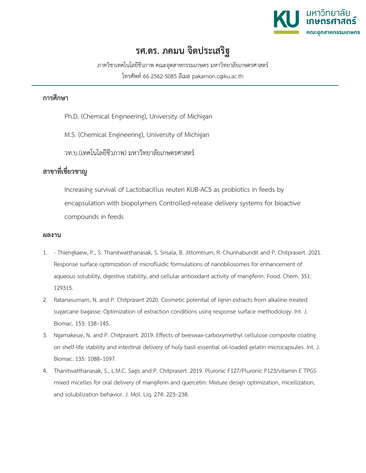

## **รศ.ดร. ภคมน จิตประเสริฐ**

ภาควิชาเทคโนโลยีชีวภาพ คณะอุตสาหกรรมเกษตร มหาวิทยาลัยเกษตรศาสตร์ โทรศัพท์ 66-2562-5085 อีเมล pakamon.c@ku.ac.th

## **การศึกษา**

- Ph.D. (Chemical Engineering), University of Michigan
- M.S. (Chemical Engineering), University of Michigan

วท.บ.(เทคโนโลยีชีวภาพ) มหาวิทยาลัยเกษตรศาสตร์

## **สาขาที่เชี่ยวชาญ**

Increasing survival of Lactobacillus reuteri KUB-AC5 as probiotics in feeds by encapsulation with biopolymers Controlled-release delivery systems for bioactive compounds in feeds

## **ผลงาน**

- 1. Thiengkaew, P., S. Thanitwatthanasak, S. Srisala, B. Jittorntrum, R. Chunhabundit and P. Chitprasert. 2021. Response surface optimization of microfluidic formulations of nanobilosomes for enhancement of aqueous solubility, digestive stability, and cellular antioxidant activity of mangiferin. Food. Chem. 351: 129315.
- 2. Ratanasumarn, N. and P. Chitprasert 2020. Cosmetic potential of lignin extracts from alkaline-treated sugarcane bagasse: Optimization of extraction conditions using response surface methodology. Int. J. Biomac. 153: 138–145.
- 3. Ngamakeue, N. and P. Chitprasert. 2019. Effects of beeswax-carboxymethyl cellulose composite coating on shelf-life stability and intestinal delivery of holy basil essential oil-loaded gelatin microcapsules. Int. J. Biomac. 135: 1088–1097.
- 4. Thanitwatthanasak, S., L.M.C. Sagis and P. Chitprasert. 2019. Pluronic F127/Pluronic P123/vitamin E TPGS mixed micelles for oral delivery of mangiferin and quercetin: Mixture design optimization, micellization, and solubilization behavior. J. Mol. Liq. 274: 223–238.